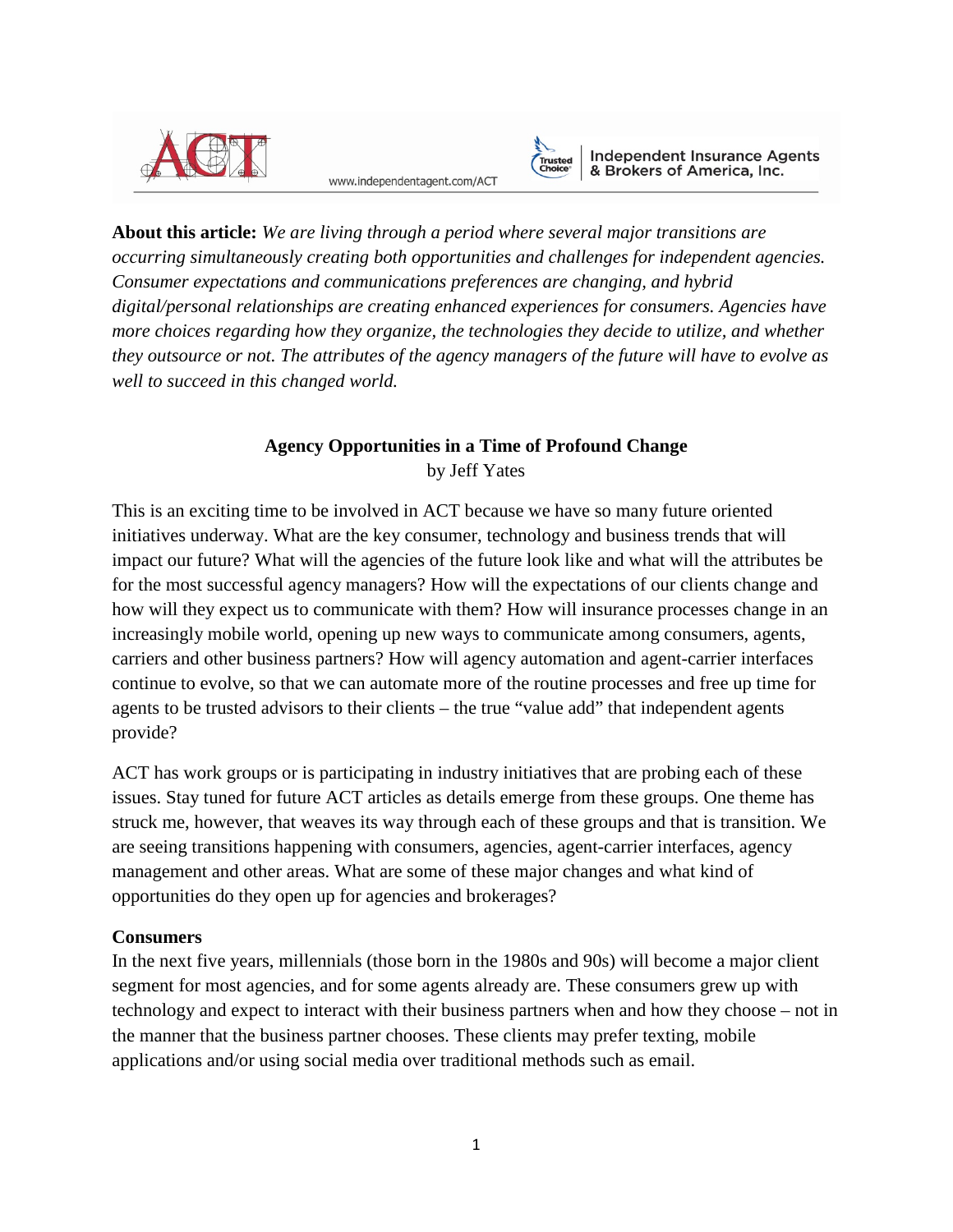

www.independentagent.com/ACT



Independent Insurance Agents<br>& Brokers of America, Inc.

**About this article:** *We are living through a period where several major transitions are occurring simultaneously creating both opportunities and challenges for independent agencies. Consumer expectations and communications preferences are changing, and hybrid digital/personal relationships are creating enhanced experiences for consumers. Agencies have more choices regarding how they organize, the technologies they decide to utilize, and whether they outsource or not. The attributes of the agency managers of the future will have to evolve as well to succeed in this changed world.*

# **Agency Opportunities in a Time of Profound Change** by Jeff Yates

This is an exciting time to be involved in ACT because we have so many future oriented initiatives underway. What are the key consumer, technology and business trends that will impact our future? What will the agencies of the future look like and what will the attributes be for the most successful agency managers? How will the expectations of our clients change and how will they expect us to communicate with them? How will insurance processes change in an increasingly mobile world, opening up new ways to communicate among consumers, agents, carriers and other business partners? How will agency automation and agent-carrier interfaces continue to evolve, so that we can automate more of the routine processes and free up time for agents to be trusted advisors to their clients – the true "value add" that independent agents provide?

ACT has work groups or is participating in industry initiatives that are probing each of these issues. Stay tuned for future ACT articles as details emerge from these groups. One theme has struck me, however, that weaves its way through each of these groups and that is transition. We are seeing transitions happening with consumers, agencies, agent-carrier interfaces, agency management and other areas. What are some of these major changes and what kind of opportunities do they open up for agencies and brokerages?

## **Consumers**

In the next five years, millennials (those born in the 1980s and 90s) will become a major client segment for most agencies, and for some agents already are. These consumers grew up with technology and expect to interact with their business partners when and how they choose – not in the manner that the business partner chooses. These clients may prefer texting, mobile applications and/or using social media over traditional methods such as email.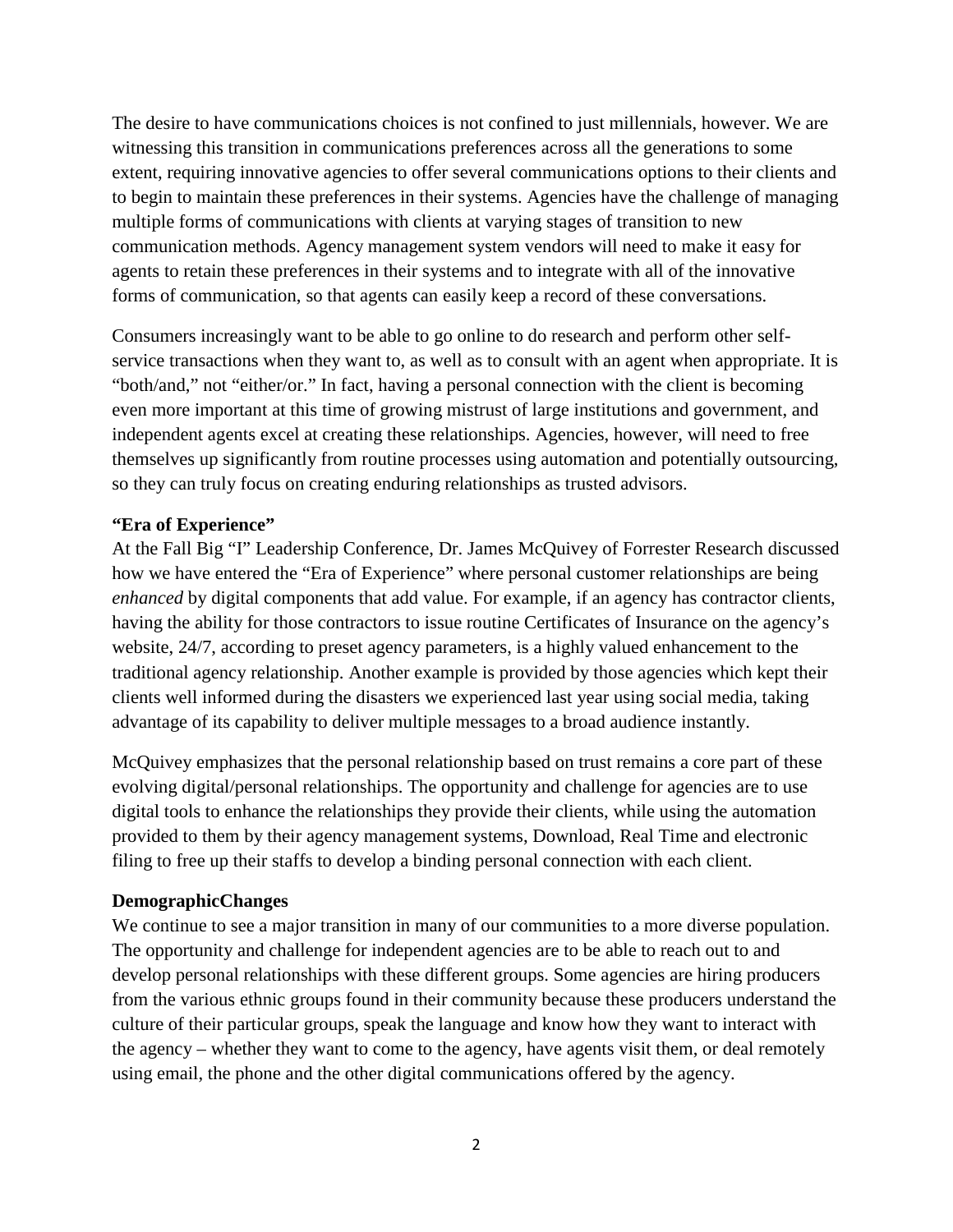The desire to have communications choices is not confined to just millennials, however. We are witnessing this transition in communications preferences across all the generations to some extent, requiring innovative agencies to offer several communications options to their clients and to begin to maintain these preferences in their systems. Agencies have the challenge of managing multiple forms of communications with clients at varying stages of transition to new communication methods. Agency management system vendors will need to make it easy for agents to retain these preferences in their systems and to integrate with all of the innovative forms of communication, so that agents can easily keep a record of these conversations.

Consumers increasingly want to be able to go online to do research and perform other selfservice transactions when they want to, as well as to consult with an agent when appropriate. It is "both/and," not "either/or." In fact, having a personal connection with the client is becoming even more important at this time of growing mistrust of large institutions and government, and independent agents excel at creating these relationships. Agencies, however, will need to free themselves up significantly from routine processes using automation and potentially outsourcing, so they can truly focus on creating enduring relationships as trusted advisors.

### **"Era of Experience"**

At the Fall Big "I" Leadership Conference, Dr. James McQuivey of Forrester Research discussed how we have entered the "Era of Experience" where personal customer relationships are being *enhanced* by digital components that add value. For example, if an agency has contractor clients, having the ability for those contractors to issue routine Certificates of Insurance on the agency's website, 24/7, according to preset agency parameters, is a highly valued enhancement to the traditional agency relationship. Another example is provided by those agencies which kept their clients well informed during the disasters we experienced last year using social media, taking advantage of its capability to deliver multiple messages to a broad audience instantly.

McQuivey emphasizes that the personal relationship based on trust remains a core part of these evolving digital/personal relationships. The opportunity and challenge for agencies are to use digital tools to enhance the relationships they provide their clients, while using the automation provided to them by their agency management systems, Download, Real Time and electronic filing to free up their staffs to develop a binding personal connection with each client.

#### **DemographicChanges**

We continue to see a major transition in many of our communities to a more diverse population. The opportunity and challenge for independent agencies are to be able to reach out to and develop personal relationships with these different groups. Some agencies are hiring producers from the various ethnic groups found in their community because these producers understand the culture of their particular groups, speak the language and know how they want to interact with the agency – whether they want to come to the agency, have agents visit them, or deal remotely using email, the phone and the other digital communications offered by the agency.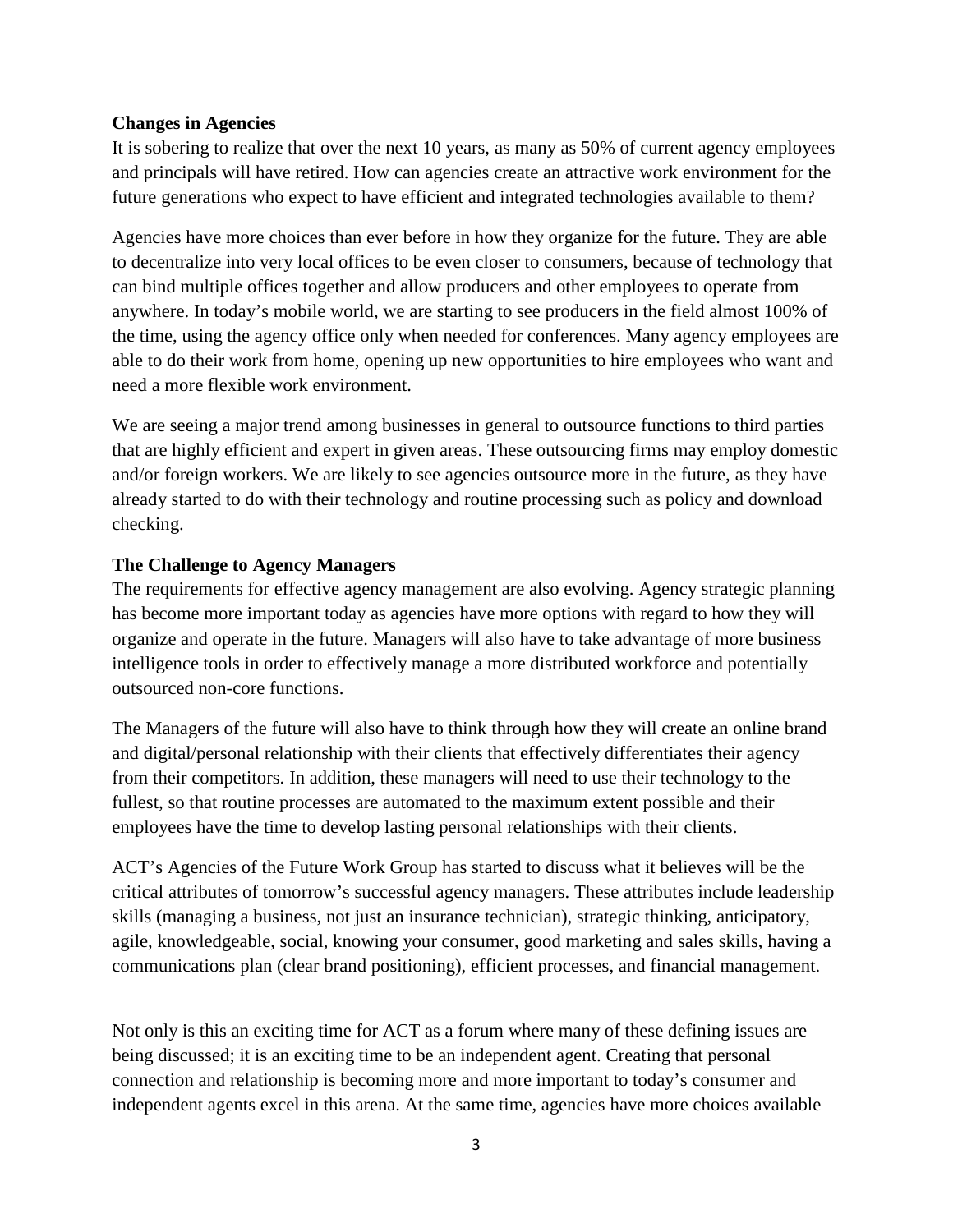#### **Changes in Agencies**

It is sobering to realize that over the next 10 years, as many as 50% of current agency employees and principals will have retired. How can agencies create an attractive work environment for the future generations who expect to have efficient and integrated technologies available to them?

Agencies have more choices than ever before in how they organize for the future. They are able to decentralize into very local offices to be even closer to consumers, because of technology that can bind multiple offices together and allow producers and other employees to operate from anywhere. In today's mobile world, we are starting to see producers in the field almost 100% of the time, using the agency office only when needed for conferences. Many agency employees are able to do their work from home, opening up new opportunities to hire employees who want and need a more flexible work environment.

We are seeing a major trend among businesses in general to outsource functions to third parties that are highly efficient and expert in given areas. These outsourcing firms may employ domestic and/or foreign workers. We are likely to see agencies outsource more in the future, as they have already started to do with their technology and routine processing such as policy and download checking.

#### **The Challenge to Agency Managers**

The requirements for effective agency management are also evolving. Agency strategic planning has become more important today as agencies have more options with regard to how they will organize and operate in the future. Managers will also have to take advantage of more business intelligence tools in order to effectively manage a more distributed workforce and potentially outsourced non-core functions.

The Managers of the future will also have to think through how they will create an online brand and digital/personal relationship with their clients that effectively differentiates their agency from their competitors. In addition, these managers will need to use their technology to the fullest, so that routine processes are automated to the maximum extent possible and their employees have the time to develop lasting personal relationships with their clients.

ACT's Agencies of the Future Work Group has started to discuss what it believes will be the critical attributes of tomorrow's successful agency managers. These attributes include leadership skills (managing a business, not just an insurance technician), strategic thinking, anticipatory, agile, knowledgeable, social, knowing your consumer, good marketing and sales skills, having a communications plan (clear brand positioning), efficient processes, and financial management.

Not only is this an exciting time for ACT as a forum where many of these defining issues are being discussed; it is an exciting time to be an independent agent. Creating that personal connection and relationship is becoming more and more important to today's consumer and independent agents excel in this arena. At the same time, agencies have more choices available